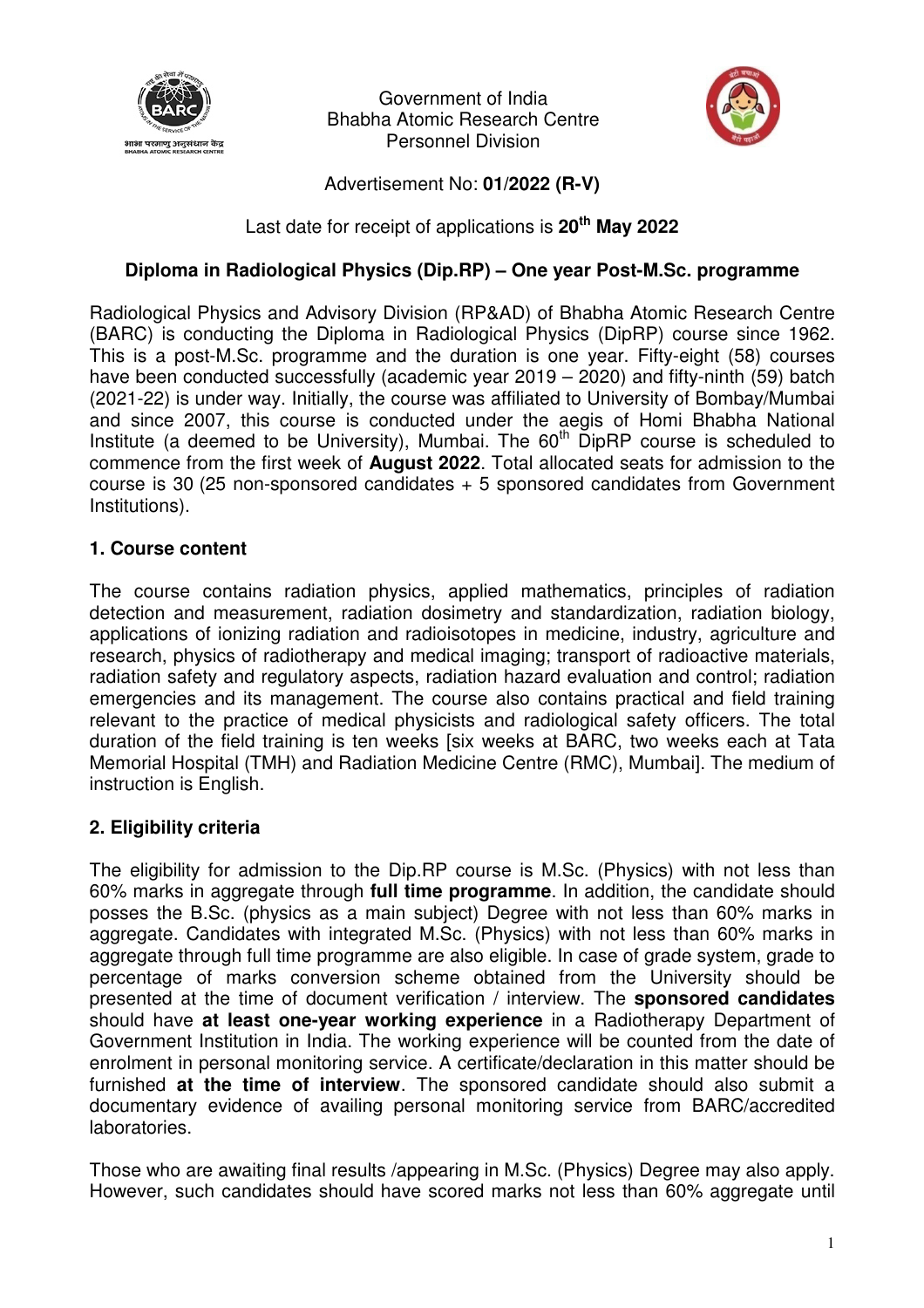

Government of India Bhabha Atomic Research Centre Personnel Division



Advertisement No: **01/2022 (R-V)**

Last date for receipt of applications is **20th May 2022**

### **Diploma in Radiological Physics (Dip.RP) – One year Post-M.Sc. programme**

Radiological Physics and Advisory Division (RP&AD) of Bhabha Atomic Research Centre (BARC) is conducting the Diploma in Radiological Physics (DipRP) course since 1962. This is a post-M.Sc. programme and the duration is one year. Fifty-eight (58) courses have been conducted successfully (academic year 2019 – 2020) and fifty-ninth (59) batch (2021-22) is under way. Initially, the course was affiliated to University of Bombay/Mumbai and since 2007, this course is conducted under the aegis of Homi Bhabha National Institute (a deemed to be University), Mumbai. The  $60<sup>th</sup>$  DipRP course is scheduled to commence from the first week of **August 2022**. Total allocated seats for admission to the course is 30 (25 non-sponsored candidates + 5 sponsored candidates from Government Institutions).

### **1. Course content**

The course contains radiation physics, applied mathematics, principles of radiation detection and measurement, radiation dosimetry and standardization, radiation biology, applications of ionizing radiation and radioisotopes in medicine, industry, agriculture and research, physics of radiotherapy and medical imaging; transport of radioactive materials, radiation safety and regulatory aspects, radiation hazard evaluation and control; radiation emergencies and its management. The course also contains practical and field training relevant to the practice of medical physicists and radiological safety officers. The total duration of the field training is ten weeks [six weeks at BARC, two weeks each at Tata Memorial Hospital (TMH) and Radiation Medicine Centre (RMC), Mumbai]. The medium of instruction is English.

## **2. Eligibility criteria**

The eligibility for admission to the Dip.RP course is M.Sc. (Physics) with not less than 60% marks in aggregate through **full time programme**. In addition, the candidate should posses the B.Sc. (physics as a main subject) Degree with not less than 60% marks in aggregate. Candidates with integrated M.Sc. (Physics) with not less than 60% marks in aggregate through full time programme are also eligible. In case of grade system, grade to percentage of marks conversion scheme obtained from the University should be presented at the time of document verification / interview. The **sponsored candidates** should have **at least one-year working experience** in a Radiotherapy Department of Government Institution in India. The working experience will be counted from the date of enrolment in personal monitoring service. A certificate/declaration in this matter should be furnished **at the time of interview**. The sponsored candidate should also submit a documentary evidence of availing personal monitoring service from BARC/accredited laboratories.

Those who are awaiting final results /appearing in M.Sc. (Physics) Degree may also apply. However, such candidates should have scored marks not less than 60% aggregate until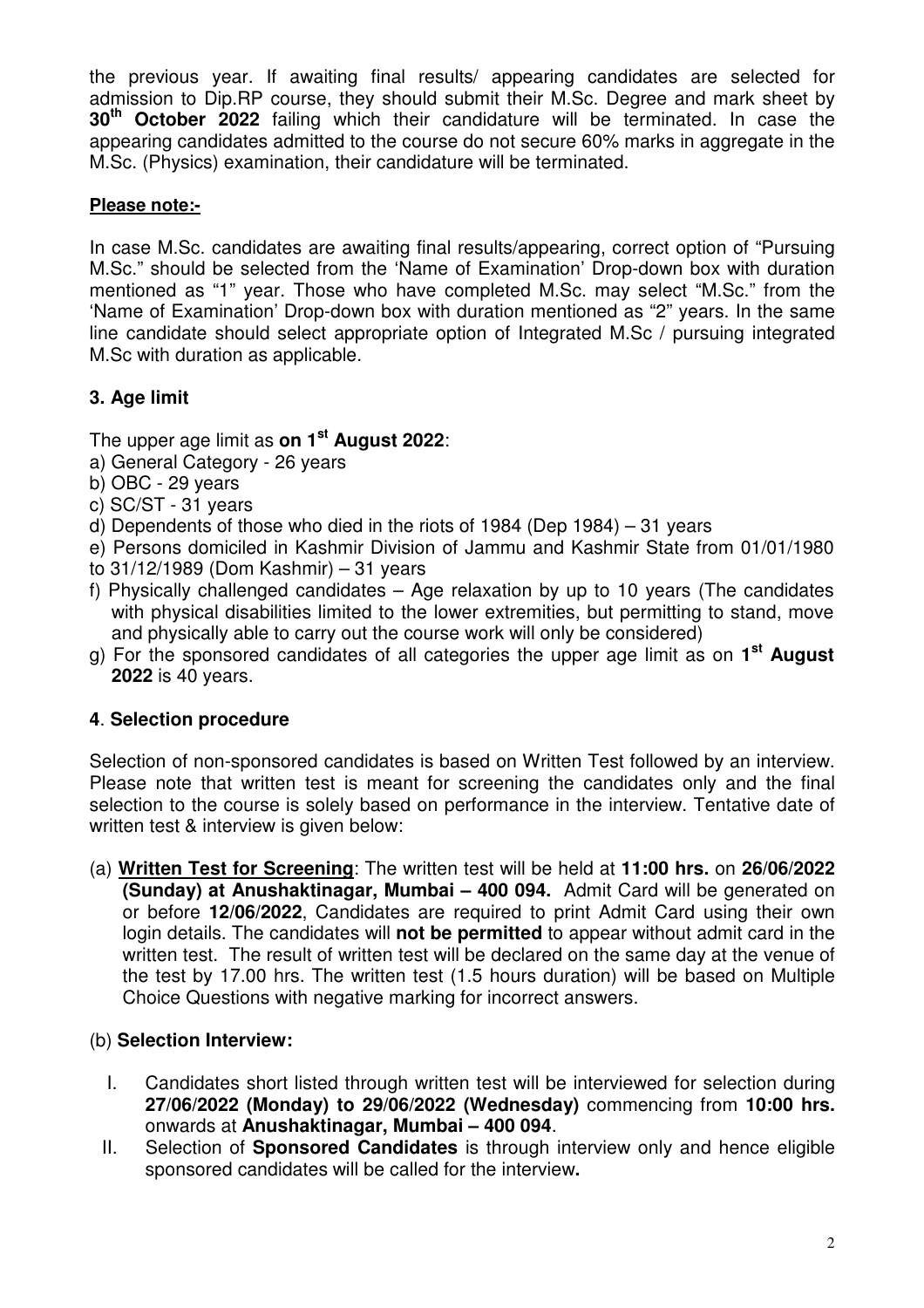the previous year. If awaiting final results/ appearing candidates are selected for admission to Dip.RP course, they should submit their M.Sc. Degree and mark sheet by **30th October 2022** failing which their candidature will be terminated. In case the appearing candidates admitted to the course do not secure 60% marks in aggregate in the M.Sc. (Physics) examination, their candidature will be terminated.

### **Please note:-**

In case M.Sc. candidates are awaiting final results/appearing, correct option of "Pursuing M.Sc." should be selected from the 'Name of Examination' Drop-down box with duration mentioned as "1" year. Those who have completed M.Sc. may select "M.Sc." from the 'Name of Examination' Drop-down box with duration mentioned as "2" years. In the same line candidate should select appropriate option of Integrated M.Sc / pursuing integrated M.Sc with duration as applicable.

## **3. Age limit**

The upper age limit as **on 1st August 2022**:

- a) General Category 26 years
- b) OBC 29 years
- c) SC/ST 31 years
- d) Dependents of those who died in the riots of 1984 (Dep 1984) 31 years
- e) Persons domiciled in Kashmir Division of Jammu and Kashmir State from 01/01/1980
- to 31/12/1989 (Dom Kashmir) 31 years
- f) Physically challenged candidates Age relaxation by up to 10 years (The candidates with physical disabilities limited to the lower extremities, but permitting to stand, move and physically able to carry out the course work will only be considered)
- g) For the sponsored candidates of all categories the upper age limit as on **1 st August 2022** is 40 years.

## **4**. **Selection procedure**

Selection of non-sponsored candidates is based on Written Test followed by an interview. Please note that written test is meant for screening the candidates only and the final selection to the course is solely based on performance in the interview. Tentative date of written test & interview is given below:

(a) **Written Test for Screening**: The written test will be held at **11:00 hrs.** on **26/06/2022 (Sunday) at Anushaktinagar, Mumbai – 400 094.** Admit Card will be generated on or before **12/06/2022**, Candidates are required to print Admit Card using their own login details. The candidates will **not be permitted** to appear without admit card in the written test. The result of written test will be declared on the same day at the venue of the test by 17.00 hrs. The written test (1.5 hours duration) will be based on Multiple Choice Questions with negative marking for incorrect answers.

## (b) **Selection Interview:**

- I. Candidates short listed through written test will be interviewed for selection during **27/06/2022 (Monday) to 29/06/2022 (Wednesday)** commencing from **10:00 hrs.** onwards at **Anushaktinagar, Mumbai – 400 094**.
- II. Selection of **Sponsored Candidates** is through interview only and hence eligible sponsored candidates will be called for the interview**.**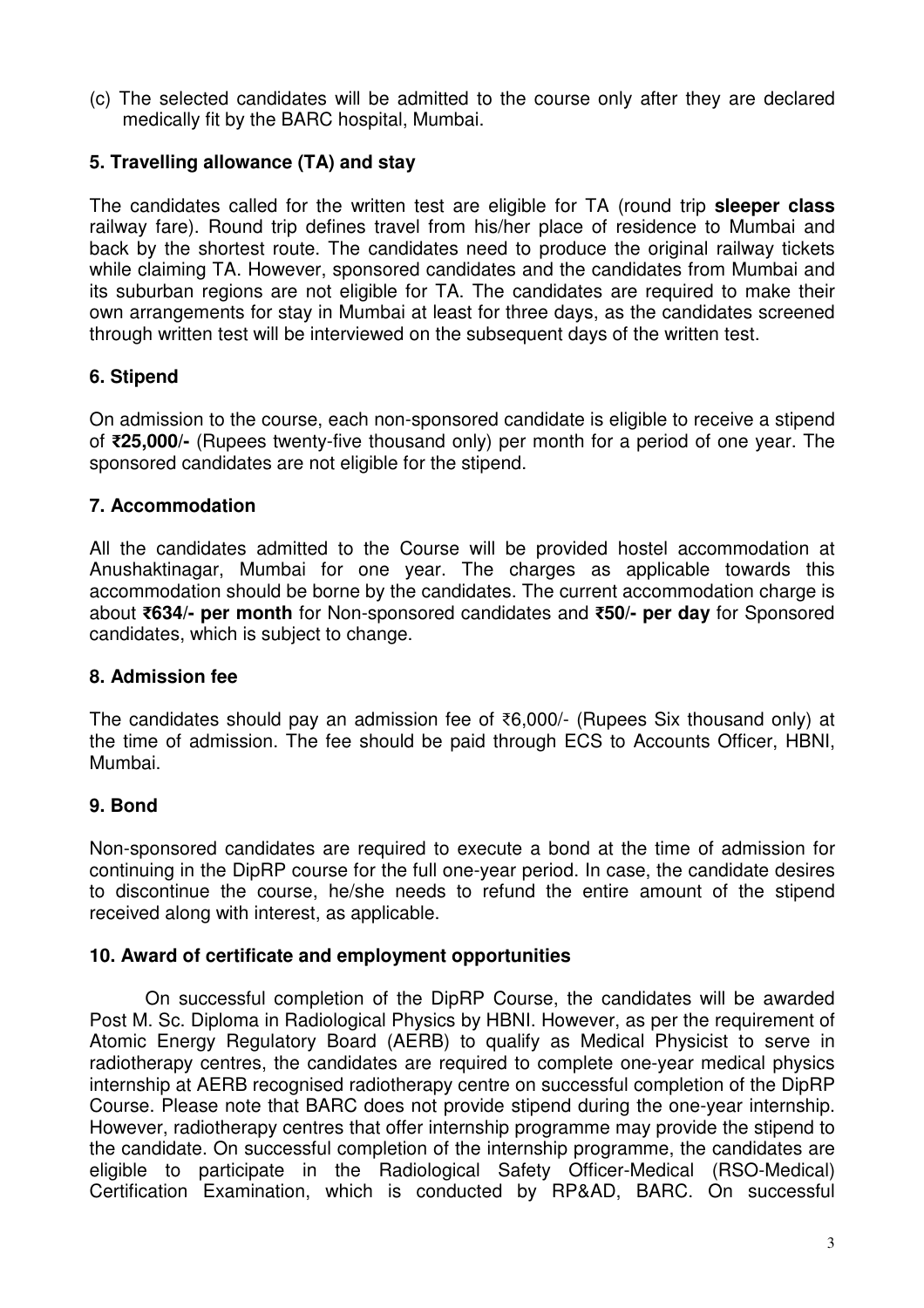(c) The selected candidates will be admitted to the course only after they are declared medically fit by the BARC hospital, Mumbai.

### **5. Travelling allowance (TA) and stay**

The candidates called for the written test are eligible for TA (round trip **sleeper class** railway fare). Round trip defines travel from his/her place of residence to Mumbai and back by the shortest route. The candidates need to produce the original railway tickets while claiming TA. However, sponsored candidates and the candidates from Mumbai and its suburban regions are not eligible for TA. The candidates are required to make their own arrangements for stay in Mumbai at least for three days, as the candidates screened through written test will be interviewed on the subsequent days of the written test.

### **6. Stipend**

On admission to the course, each non-sponsored candidate is eligible to receive a stipend of **₹25,000/-** (Rupees twenty-five thousand only) per month for a period of one year. The sponsored candidates are not eligible for the stipend.

### **7. Accommodation**

All the candidates admitted to the Course will be provided hostel accommodation at Anushaktinagar, Mumbai for one year. The charges as applicable towards this accommodation should be borne by the candidates. The current accommodation charge is about **₹634/- per month** for Non-sponsored candidates and **₹50/- per day** for Sponsored candidates, which is subject to change.

### **8. Admission fee**

The candidates should pay an admission fee of ₹6,000/- (Rupees Six thousand only) at the time of admission. The fee should be paid through ECS to Accounts Officer, HBNI, Mumbai.

## **9. Bond**

Non-sponsored candidates are required to execute a bond at the time of admission for continuing in the DipRP course for the full one-year period. In case, the candidate desires to discontinue the course, he/she needs to refund the entire amount of the stipend received along with interest, as applicable.

### **10. Award of certificate and employment opportunities**

On successful completion of the DipRP Course, the candidates will be awarded Post M. Sc. Diploma in Radiological Physics by HBNI. However, as per the requirement of Atomic Energy Regulatory Board (AERB) to qualify as Medical Physicist to serve in radiotherapy centres, the candidates are required to complete one-year medical physics internship at AERB recognised radiotherapy centre on successful completion of the DipRP Course. Please note that BARC does not provide stipend during the one-year internship. However, radiotherapy centres that offer internship programme may provide the stipend to the candidate. On successful completion of the internship programme, the candidates are eligible to participate in the Radiological Safety Officer-Medical (RSO-Medical) Certification Examination, which is conducted by RP&AD, BARC. On successful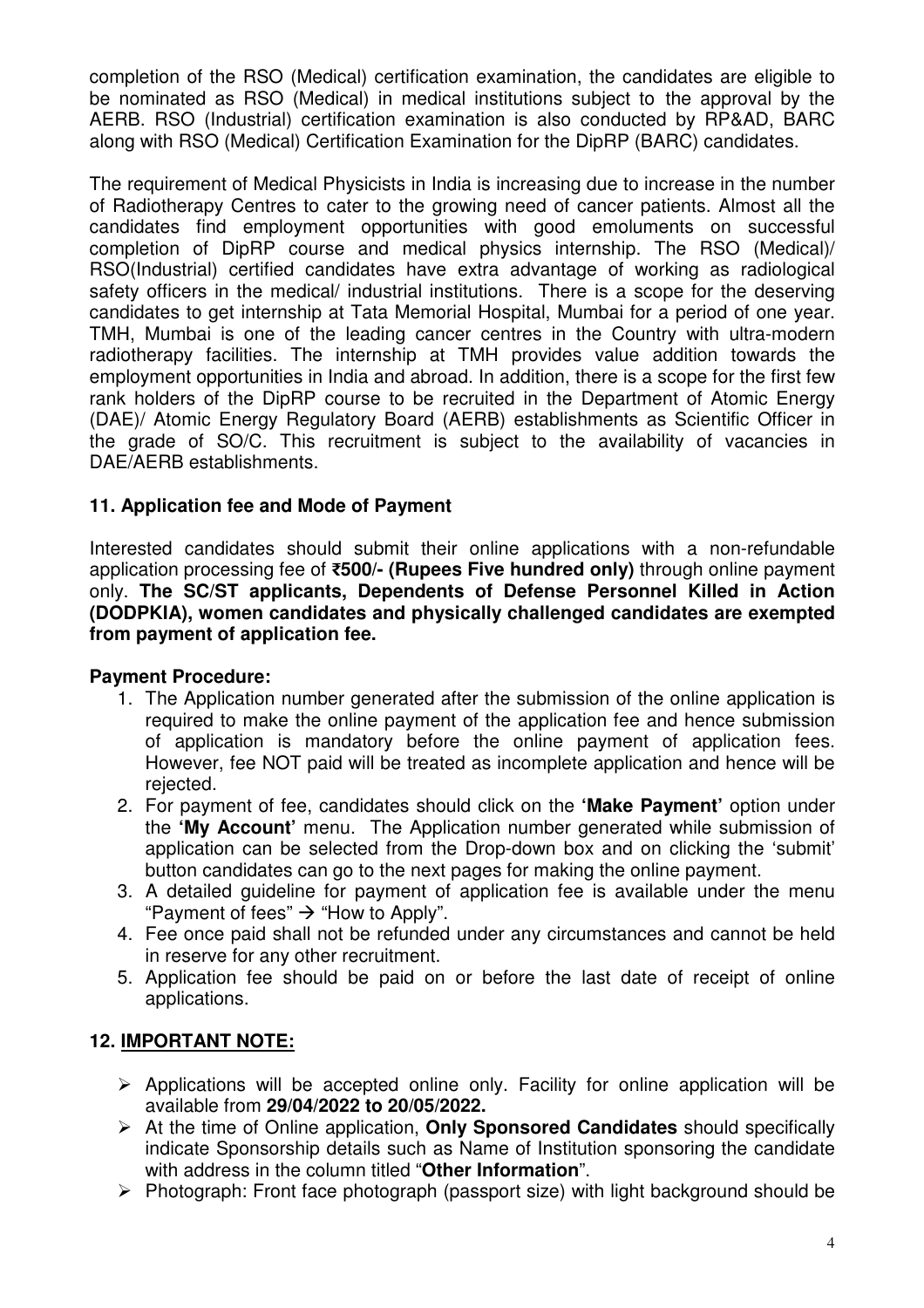completion of the RSO (Medical) certification examination, the candidates are eligible to be nominated as RSO (Medical) in medical institutions subject to the approval by the AERB. RSO (Industrial) certification examination is also conducted by RP&AD, BARC along with RSO (Medical) Certification Examination for the DipRP (BARC) candidates.

The requirement of Medical Physicists in India is increasing due to increase in the number of Radiotherapy Centres to cater to the growing need of cancer patients. Almost all the candidates find employment opportunities with good emoluments on successful completion of DipRP course and medical physics internship. The RSO (Medical)/ RSO(Industrial) certified candidates have extra advantage of working as radiological safety officers in the medical/ industrial institutions. There is a scope for the deserving candidates to get internship at Tata Memorial Hospital, Mumbai for a period of one year. TMH, Mumbai is one of the leading cancer centres in the Country with ultra-modern radiotherapy facilities. The internship at TMH provides value addition towards the employment opportunities in India and abroad. In addition, there is a scope for the first few rank holders of the DipRP course to be recruited in the Department of Atomic Energy (DAE)/ Atomic Energy Regulatory Board (AERB) establishments as Scientific Officer in the grade of SO/C. This recruitment is subject to the availability of vacancies in DAE/AERB establishments.

### **11. Application fee and Mode of Payment**

Interested candidates should submit their online applications with a non-refundable application processing fee of **₹500/- (Rupees Five hundred only)** through online payment only. **The SC/ST applicants, Dependents of Defense Personnel Killed in Action (DODPKIA), women candidates and physically challenged candidates are exempted from payment of application fee.**

### **Payment Procedure:**

- 1. The Application number generated after the submission of the online application is required to make the online payment of the application fee and hence submission of application is mandatory before the online payment of application fees. However, fee NOT paid will be treated as incomplete application and hence will be rejected.
- 2. For payment of fee, candidates should click on the **'Make Payment'** option under the **'My Account'** menu. The Application number generated while submission of application can be selected from the Drop-down box and on clicking the 'submit' button candidates can go to the next pages for making the online payment.
- 3. A detailed guideline for payment of application fee is available under the menu "Payment of fees"  $\rightarrow$  "How to Apply".
- 4. Fee once paid shall not be refunded under any circumstances and cannot be held in reserve for any other recruitment.
- 5. Application fee should be paid on or before the last date of receipt of online applications.

## **12. IMPORTANT NOTE:**

- > Applications will be accepted online only. Facility for online application will be available from **29/04/2022 to 20/05/2022.**
- > At the time of Online application, **Only Sponsored Candidates** should specifically indicate Sponsorship details such as Name of Institution sponsoring the candidate with address in the column titled "**Other Information**".
- > Photograph: Front face photograph (passport size) with light background should be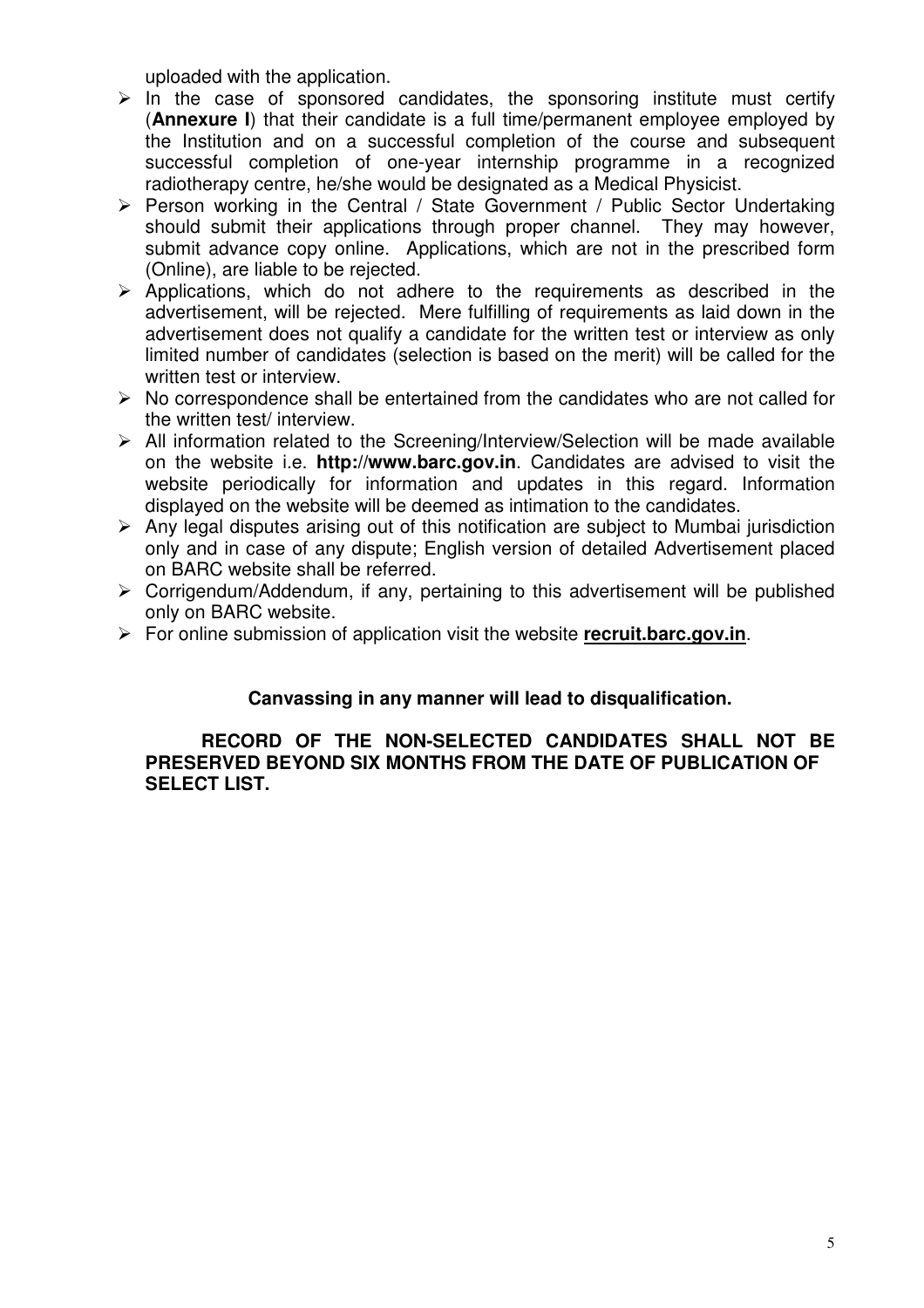uploaded with the application.

- $\triangleright$  In the case of sponsored candidates, the sponsoring institute must certify (**Annexure I**) that their candidate is a full time/permanent employee employed by the Institution and on a successful completion of the course and subsequent successful completion of one-year internship programme in a recognized radiotherapy centre, he/she would be designated as a Medical Physicist.
- > Person working in the Central / State Government / Public Sector Undertaking should submit their applications through proper channel. They may however, submit advance copy online. Applications, which are not in the prescribed form (Online), are liable to be rejected.
- > Applications, which do not adhere to the requirements as described in the advertisement, will be rejected. Mere fulfilling of requirements as laid down in the advertisement does not qualify a candidate for the written test or interview as only limited number of candidates (selection is based on the merit) will be called for the written test or interview.
- > No correspondence shall be entertained from the candidates who are not called for the written test/ interview.
- > All information related to the Screening/Interview/Selection will be made available on the website i.e. **http://www.barc.gov.in**. Candidates are advised to visit the website periodically for information and updates in this regard. Information displayed on the website will be deemed as intimation to the candidates.
- > Any legal disputes arising out of this notification are subject to Mumbai jurisdiction only and in case of any dispute; English version of detailed Advertisement placed on BARC website shall be referred.
- > Corrigendum/Addendum, if any, pertaining to this advertisement will be published only on BARC website.
- > For online submission of application visit the website **recruit.barc.gov.in**.

### **Canvassing in any manner will lead to disqualification.**

### **RECORD OF THE NON-SELECTED CANDIDATES SHALL NOT BE PRESERVED BEYOND SIX MONTHS FROM THE DATE OF PUBLICATION OF SELECT LIST.**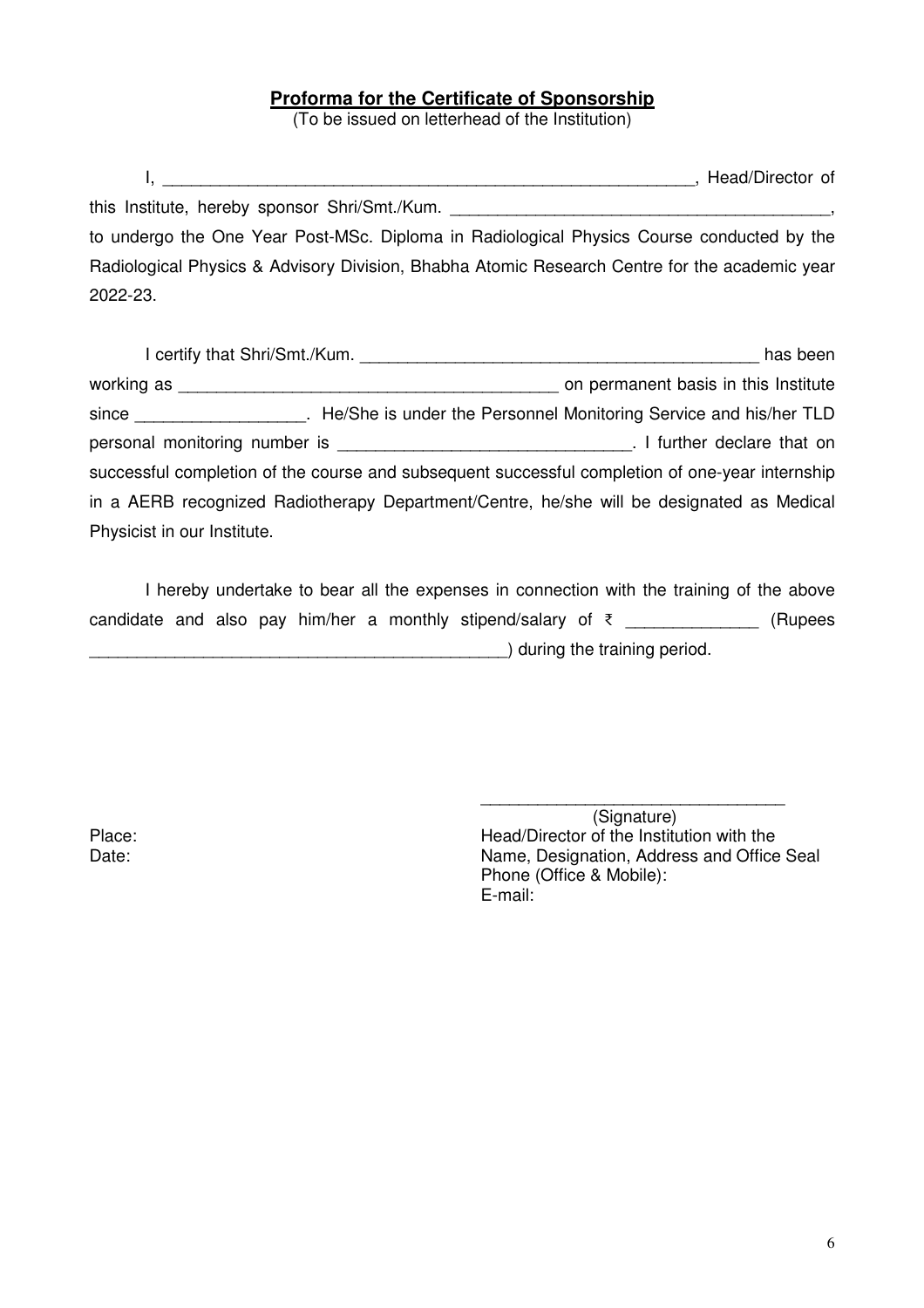### **Proforma for the Certificate of Sponsorship**

(To be issued on letterhead of the Institution)

 I, \_\_\_\_\_\_\_\_\_\_\_\_\_\_\_\_\_\_\_\_\_\_\_\_\_\_\_\_\_\_\_\_\_\_\_\_\_\_\_\_\_\_\_\_\_\_\_\_\_\_\_\_\_\_\_\_, Head/Director of this Institute, hereby sponsor Shri/Smt./Kum. to undergo the One Year Post-MSc. Diploma in Radiological Physics Course conducted by the Radiological Physics & Advisory Division, Bhabha Atomic Research Centre for the academic year 2022-23.

| I certify that Shri/Smt./Kum.                                                                   | has been                             |
|-------------------------------------------------------------------------------------------------|--------------------------------------|
| working as _____                                                                                | on permanent basis in this Institute |
| since TLD . He/She is under the Personnel Monitoring Service and his/her TLD                    |                                      |
| personal monitoring number is personal monitoring                                               | . I further declare that on          |
| successful completion of the course and subsequent successful completion of one-year internship |                                      |
| in a AERB recognized Radiotherapy Department/Centre, he/she will be designated as Medical       |                                      |
| Physicist in our Institute.                                                                     |                                      |

 I hereby undertake to bear all the expenses in connection with the training of the above candidate and also pay him/her a monthly stipend/salary of  $\bar{\tau}$  \_\_\_\_\_\_\_\_\_\_\_\_\_\_ (Rupees \_\_\_\_\_\_\_\_\_\_\_\_\_\_\_\_\_\_\_\_\_\_\_\_\_\_\_\_\_\_\_\_\_\_\_\_\_\_\_\_\_\_\_\_) during the training period.

 \_\_\_\_\_\_\_\_\_\_\_\_\_\_\_\_\_\_\_\_\_\_\_\_\_\_\_\_\_\_\_\_ (Signature) Place: Place: Place: Head/Director of the Institution with the Date: Date: Name, Designation, Address and Office Seal Phone (Office & Mobile): E-mail: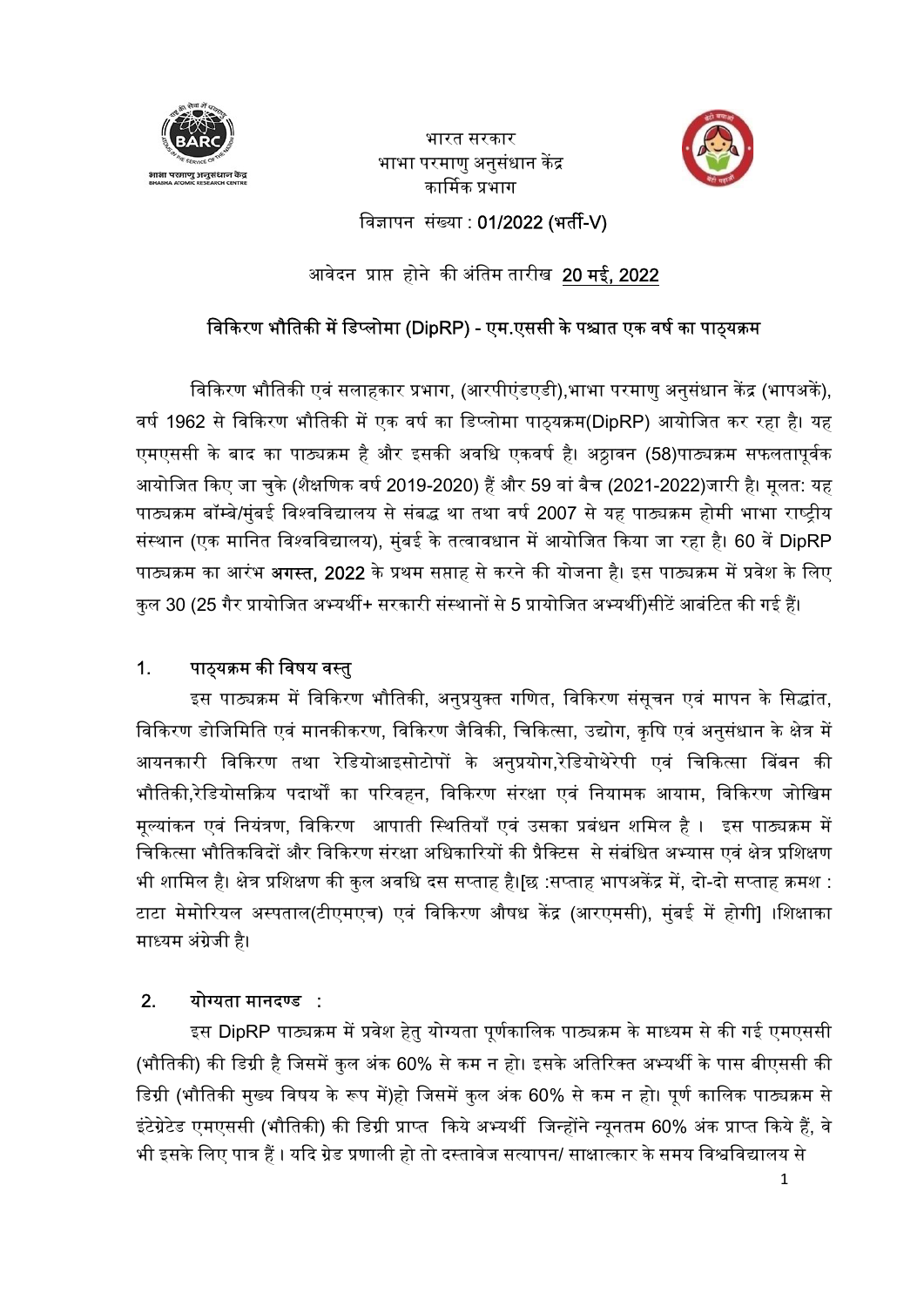

भारत सरकार<br>भाभा परमाणु अनुसंधान केंद्र<br>कार्मिक प्रभाग



विज्ञापन संख्या : 01/2022 (भर्ती-V)

आरत सरकार<br>सामा परमाणु अनुसंधान केंद्र<br>ब्राझ्फ्लैंक अंबाम तारीख 20 मई, 2022<br>ब्राकेरण भौतिकी में डिप्लोमा (DipRP) - एम.एससी के पश्चात एक वर्ष का पाठ्यक्रम<br>किरण भौतिकी में डिप्लोमा (DipRP) - एम.एससी के पश्चात एक वर्ष का पाठ् िवास करण भौतिकी सलाहकार<br>सलाह प्रतान को कार्य करण भौतिक प्रसादन केंद्र<br>बारी करण भौतिकी में डिप्लोमा (DipRP) - एम.एससी के पश्चात एक वर्ष का पाठ्यक्रम<br>विकिरण भौतिकी में डिप्लोमा (DipRP) - एम.एससी के पश्चात एक वर्ष का पाठ्य एमएससी के बाद का पाठ्यक्रम है और इसकी अवधि एकवर्ष है। अठ्ठावन (58)पाठ्यक्रम सफलतापूर्वक आयोजित किए जा चुके (शैक्षणिक वर्ष 2019-2020) हैं और 59 वां बैच (2021-2022)जारी है। मूलत: यह पाठ्यक्रम बॉम्बे/मुंबई विश्वविद्यालय से संबद्ध था तथा वर्ष 2007 से यह पाठ्यक्रम होमी भाभा राष्ट्रीय थान परमाणु अनुसंधान केंद्र (सर्ती-V)<br>बाबिव पर मान होने की अंतिम तारीख 20 मई, 2022<br>बिकिरण भौतिकी में डिप्लोमा (DipRP) - एम.एससी के पश्चात एक वर्ष का पाठ्यक्रम<br>विकिरण भौतिकी में डिप्लोमा (DipRP) - एम.एससी के पश्चात एक वर्ष किस्ण संख्या : 01/2022 (भर्ती-V)<br>अवेदन प्राप्त होने की अंतिम तारीख 20 <mark>मई, 2022</mark><br>विकिरण भौतिकी में डिप्लोमा (DipRP) - एम.एससी के पश्चात एक वर्ष का पाठ्यक्रम<br>वर्ष 1962 से विकिरण भौतिकी में एक वर्ष का डिप्लोमा पाठ्यक्रम(Dip विकिरण भौतिकी में डिप्लोमा (DipRP) - एम.एससी के पश्चात एक वर्ष का पाठ्यक्रम<br>विकिरण भौतिकी एवं सलाहकार प्रभास, (आरपीएंडएडी),भाभा परमाणु अनुसंधान केंद्र (भापअर्के),<br>वर्ष 1962 से विकिरण भौतिकी में एक वर्ष का डिप्लोमा पाठ्यकर

भौतिकी,रेडियोसक्रिय पदार्थों का परिवहन, विकिरण संरक्षा एवं नियामक आयाम, विकिरण जोखिम मूल्यांकन एवं नियंत्रण, विकिरण आपाती स्थितियाँ एवं उसका प्रबंधन शमिल है । इस पाठ्यक्रम में चिकित्सा भौतिकविदों और विकिरण संरक्षा अधिकारियों की प्रैक्टिस से संबंधित अभ्यास एवं क्षेत्र प्रशिक्षण अधाजित किए जो चुके (शक्षाणक वध 2019-2020) है और 59 वा वच (2021-2022)जोरा हो मूलत: यह<br>पाठ्यक्रम बॉम्बेर्मुवर्ड विश्वविद्यालय से संबद्ध था तथा वर्ग 2007 से यह पाठ्यक्रम होसी भाभा राष्ट्रीय समया राष्<br>संस्थान (एक मानित विश्वव गेल्थअन थोभ्यमुघ्य ग्वरथगेश्वालय ने नष्क्षं था लंभा थे थे 2007 ने पहि गोल्थअन्न होगा गागा (प्लुः मानिन विश्वविद्यालय), मुंबई के तत्वावधान में आयोजित किया जा रहा है। 60 वें DipRP<br>गंस्कान गंस मानेत विश्वविद्यालय), मुंबई के माध्यम अंग्रेजी है। 1. पाठ्यक्रम का विषय वस्तु<br> इस पाठ्यक्रम में विकिरण भौतिकी, अनुप्रयुक्त गणित, विकित्सा, उद्योग, कृषि एवं अनुसंधान के क्षेत्र में<br>आयनकारी विमिति एवं मानकीकरण, विकिरण जैविकी, चिकित्सा, उद्योग, कृषि एव इस पाठ्यक्रम म ावाकरण भातिका, अनुप्रयुक्त गाणत, ावाकरण संसूचन एव मापन के ासद्वात,<br>विकिरण डोजिमिति एवं मानकीकरण, विकिरण जैविकी, चिकित्सा, उद्योग, कृषि एवं अनुसंधान के क्षेत्र में<br>आयनकारी विकिरण तथा रेडियोआइसोटोपों के अनुप् अायनकारी विकिरण तथा रीडयोआइसोटोगो के अनुप्रयोग,रोडयोथरेपी एवं चिकित्सा विकत को बीजिकी,रेडियोसक्रिय पदार्थों का परिवहन, विकिरण संस्था एवं नियामक आयाम, विकिरण जोखिम<br>मूल्यांकन एवं नियंत्रण, विकिरण आपाती स्थितियाँ एवं उसका प्

<u>2. योग्यता मानदण्ड :</u><br>इस DipRP पाठ्यक्रम में प्रवेश हेत योग्यता पर्णकालिक पाठ्यक्रम के माध्यम से की गई एमएससी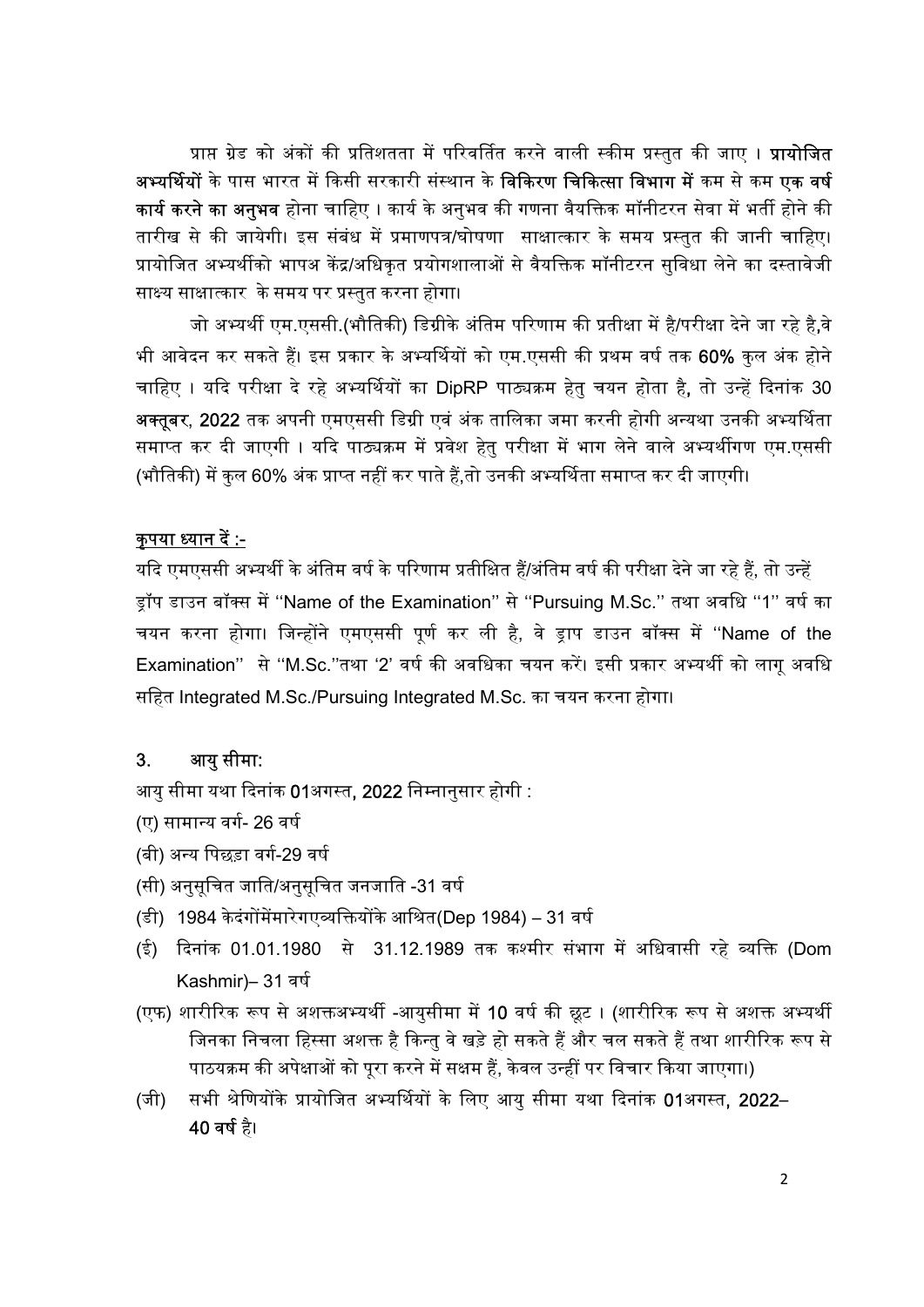प्राप्त ग्रेड को अंकों की प्रतिशतता में परिवर्तित करने वाली स्कीम प्रस्तुत की जाए । **प्रायोजित** <mark>अभ्यर्थियों</mark> के पास भारत में किसी सरकारी संस्थान के **विकिरण चिकित्सा विभाग में** कम से कम **एक वर्ष** <mark>कार्य करने का अनुभव</mark> होना चाहिए । कार्य के अनुभव की गणना वैयक्तिक मॉनीटरन सेवा में भर्ती होने की तारीख से की जायेगी। इस संबंध में प्रमाणपत्र/घोषणा साक्षात्कार के समय प्रस्तुत की जानी चाहिए। प्रायोजित अभ्यर्थीको भापअ केंद्र/अधिकृत प्रयोगशालाओं से वैयक्तिक मॉनीटरन सुविधा लेने का दस्तावेजी साक्ष्य साक्षात्कार के समय पर प्रस्तुत करना होगा।

जो अभ्यर्थी एम.एससी.(भौतिकी) डिग्रीके अंतिम परिणाम की प्रतीक्षा में है/परीक्षा देने जा रहे है,वे भी आवेदन कर सकते हैं। इस प्रकार के अभ्यर्थियों को एम.एससी की प्रथम वर्ष तक 60% कुल अंक होने चाहिए । यदि परीक्षा दे रहे अभ्यर्थियों का DipRP पाठ्यक्रम हेतु चयन होता है, तो उन्हें दिनांक 30 <mark>अक्तूबर, 2022</mark> तक अपनी एमएससी डिग्री एवं अंक तालिका जमा करनी होगी अन्यथा उनकी अभ्यर्थिता समाप्त कर दी जाएगी । यदि पाठ्यक्रम में प्रवेश हेतु परीक्षा में भाग लेने वाले अभ्यर्थीगण एम.एससी (भौतिकी) में कुल 60% अंक प्राप्त नहीं कर पाते हैं,तो उनकी अभ्यर्थिता समाप्त कर दी जाएगी।

### कुपया ध्यान दें :-

यदि एमएससी अभ्यर्थी के अंतिम वर्ष के परिणाम प्रतीक्षित हैं/अंतिम वर्ष की परीक्षा देने जा रहे हैं, तो उन्हें ड़ॉप डाउन बॉक्स में "Name of the Examination" से "Pursuing M.Sc." तथा अवधि "1" वर्ष का चयन करना होगा। जिन्होंने एमएससी पूर्ण कर ली है, वे ड्राप डाउन बॉक्स में ''Name of the Examination" से "M.Sc."तथा '2' वर्ष की अवधिका चयन करें। इसी प्रकार अभ्यर्थी को लागू अवधि सिहत Integrated M.Sc./Pursuing Integrated M.Sc. का चयन करना होगा।

### 3. आयु सीमा:

आयु सीमा यथा दिनांक 01अगस्त, 2022 निम्नानुसार होगी :

- (ए) सामान्य वर्ग- 26 वर्ष
- (बी) अन्य पिछड़ा वर्ग-29 वर्ष
- (सी) अनुसूचित जाति/अनुसूचित जनजाति -31 वर्ष
- (डी) 1984 केदंगोंमेंमारेगएव्यक्तियोंके आश्रित(Dep 1984) 31 वर्ष
- (ई) दिनांक 01.01.1980 से 31.12.1989 तक कश्मीर संभाग में अधिवासी रहे व्यक्ति (Dom Kashmir)– 31 वर्ष
- (एफ) शारीरिक रूप से अशक्तअभ्यर्थी -आयुसीमा में 10 वर्ष की छूट । (शारीरिक रूप से अशक्त अभ्यर्थी जिनका निचला हिस्सा अशक्त है किन्तु वे खड़े हो सकते हैं और चल सकते हैं तथा शारीरिक रूप से पाठयक्रम की अपेक्षाओं को पूरा करने में सक्षम हैं, केवल उन्हीं पर विचार किया जाएगा।)
- (जी) सभी श्रेणियोंके प्रायोजित अभ्यर्थियों के लिए आयु सीमा यथा दिनांक 01अगस्त, 2022– 40 वर्ष है।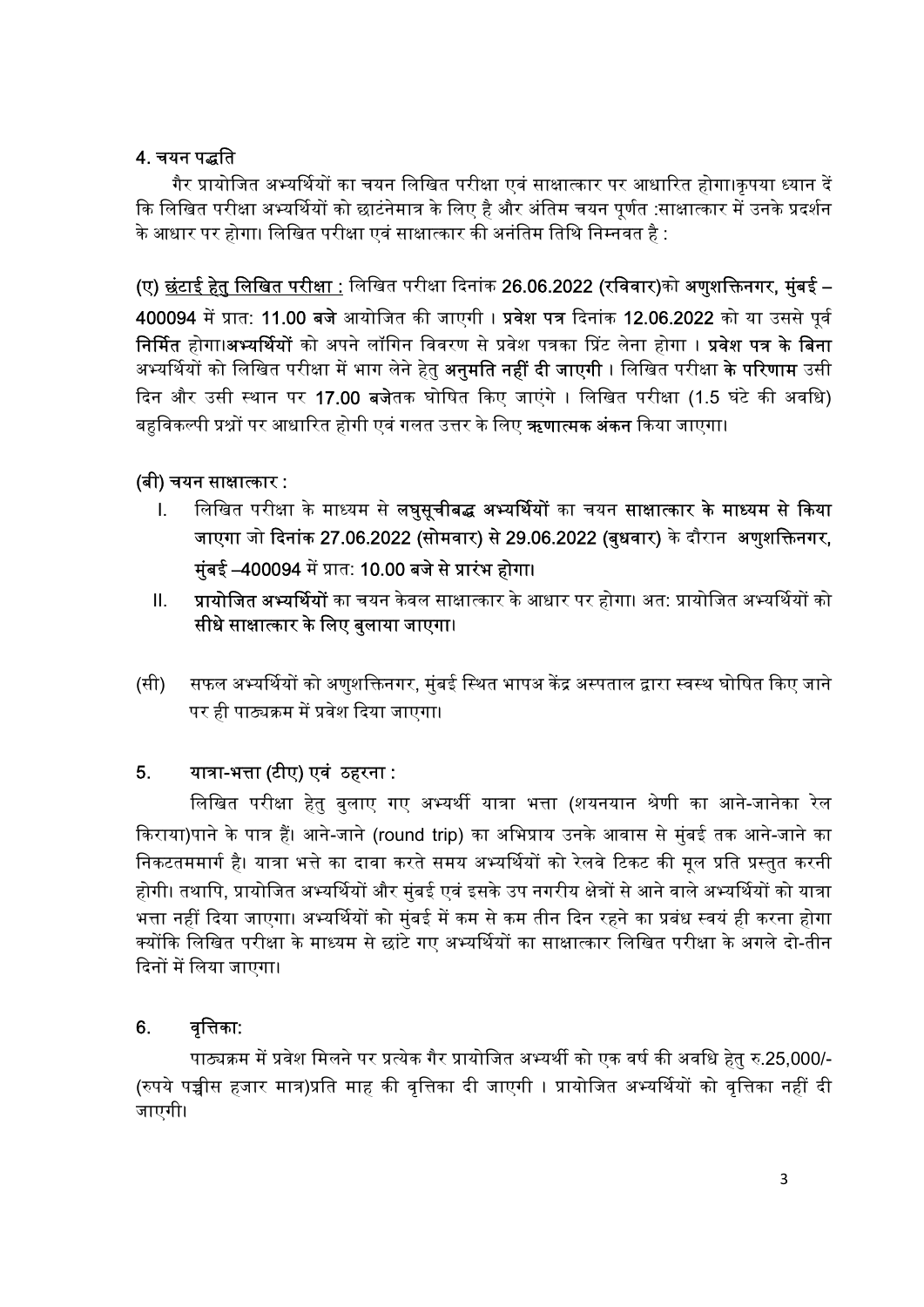# 4. चयन पद्धति

गैर प्रायोजित अभ्यर्थियों का चयन लिखित परीक्षा एवं साक्षात्कार पर आधारित होगा।कृपया ध्यान दें कि लिखित परीक्षा अभ्यर्थियों को छाटंनेमात्र के लिए है और अंतिम चयन पर्णत :साक्षात्कार में उनके प्रदर्शन के आधार पर होगा। लिखित परीक्षा एवं साक्षात्कार की अनंतिम तिथि निम्नवत है :

(ए) छंटाई हेतु लिखित परीक्षा : लिखित परीक्षा दिनांक 26.06.2022 (रविवार)को अणुशक्तिनगर, मुंबई –

400094 में प्रात: 11.00 बजे आयोजित की जाएगी । प्रवेश पत्र दिनांक 12.06.2022 को या उससे पर्व निर्मित होगा।<mark>अभ्यर्थियों</mark> को अपने लॉगिन विवरण से प्रवेश पत्रका प्रिंट लेना होगा । **प्रवेश पत्र के बिना** अभ्यर्थियों को लिखित परीक्षा में भाग लेने हेतु **अनुमति नहीं दी जाएगी** । लिखित परीक्षा **के परिणाम** उसी दिन और उसी स्थान पर 17.00 बजेतक घोषित किए जाएंगे । लिखित परीक्षा (1.5 घंटे की अवधि) बहविकल्पी प्रश्नों पर आधारित होगी एवं गलत उत्तर के लिए **ऋणात्मक अंकन** किया जाएगा।

## (बी) चयन साᭃा᭜कार :

- I. लिखित परीक्षा के माध्यम से **लघुसूचीबद्ध अभ्यर्थियों** का चयन **साक्षात्कार के माध्यम से किया** जाएगा जो दिनांक 27.06.2022 (सोमवार) से 29.06.2022 (बुधवार) के दौरान अणुशक्तिनगर, मुंबई –400094 में प्रात: 10.00 बजे से प्रारंभ होगा।
- II.  **प्रायोजित अभ्यर्थियों** का चयन केवल साक्षात्कार के आधार पर होगा। अत: प्रायोजित अभ्यर्थियों को सीधे साक्षात्कार के लिए बुलाया जाएगा।
- (सी) सफल अभ्यर्थियों को अणुशक्तिनगर, मुंबई स्थित भापअ केंद्र अस्पताल द्वारा स्वस्थ घोषित किए जाने पर ही पाठ्यक्रम में प्रवेश दिया जाएगा।

## 5. यात्रा-भत्ता (टीए) एवं ठहरना :

लिखित परीक्षा हेतु बुलाए गए अभ्यर्थी यात्रा भत्ता (शयनयान श्रेणी का आने-जानेका रेल किराया)पाने के पात्र हैं। आने-जाने (round trip) का अभिप्राय उनके आवास से मुंबई तक आने-जाने का निकटतममार्ग है। यात्रा भत्ते का दावा करते समय अभ्यर्थियों को रेलवे टिकट की मूल प्रति प्रस्तुत करनी होगी। तथापि, प्रायोजित अभ्यर्थियों और मुंबई एवं इसके उप नगरीय क्षेत्रों से आने वाले अभ्यर्थियों को यात्रा भत्ता नहीं दिया जाएगा। अभ्यर्थियों को मंबई में कम से कम तीन दिन रहने का प्रबंध स्वयं ही करना होगा क्योंकि लिखित परीक्षा के माध्यम से छांटे गए अभ्यर्थियों का साक्षात्कार लिखित परीक्षा के अगले दो-तीन दिनों में लिया जाएगा।

## 6. वृत्तिका:

पाठ्यक्रम में प्रवेश मिलने पर प्रत्येक गैर प्रायोजित अभ्यर्थी को एक वर्ष की अवधि हेतु रु.25,000/-(रुपये पच्चीस हजार मात्र)प्रति माह की वृत्तिका दी जाएगी । प्रायोजित अभ्यर्थियों को वृत्तिका नहीं दी जाएगी।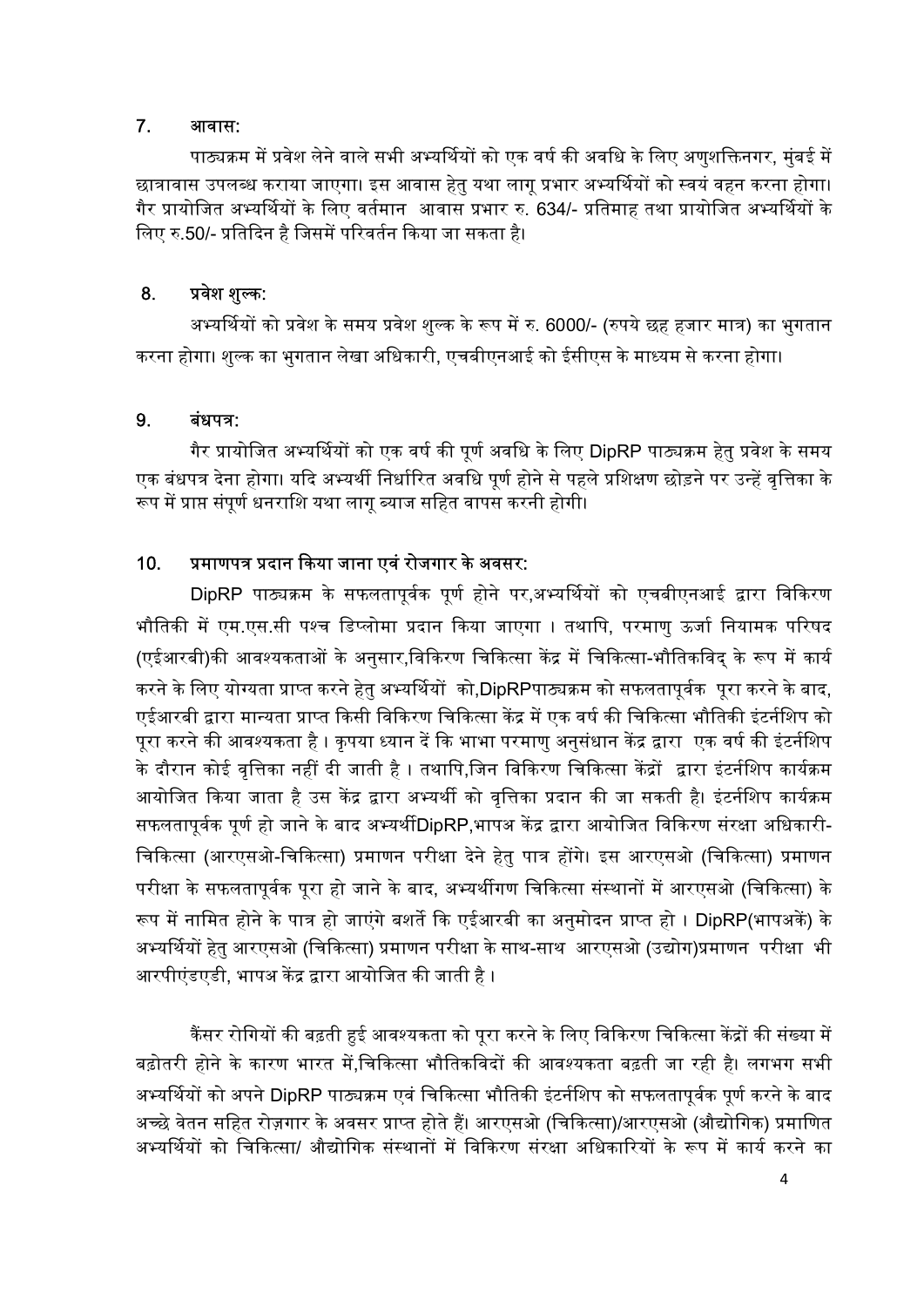### 7. आवास:

पाठ्यक्रम में प्रवेश लेने वाले सभी अभ्यर्थियों को एक वर्ष की अवधि के लिए अणुशक्तिनगर, मुंबई में छात्रावास उपलब्ध कराया जाएगा। इस आवास हेत् यथा लागू प्रभार अभ्यर्थियों को स्वयं वहन करना होगा। गैर प्रायोजित अभ्यर्थियों के लिए वर्तमान आवास प्रभार रु. 634/- प्रतिमाह तथा प्रायोजित अभ्यर्थियों के लिए रु.50/- प्रतिदिन है जिसमें परिवर्तन किया जा सकता है।

### 8. प्रवेश शुल्क:

अभ्यर्थियों को प्रवेश के समय प्रवेश शुल्क के रूप में रु. 6000/- (रुपये छह हजार मात्र) का भुगतान करना होगा। शुल्क का भुगतान लेखा अधिकारी, एचबीएनआई को ईसीएस के माध्यम से करना होगा।

### $9.$  बंधपत्र:

गैर प्रायोजित अभ्यर्थियों को एक वर्ष की पर्ण अवधि के लिए DipRP पाठ्यक्रम हेत प्रवेश के समय एक बंधपत्र देना होगा। यदि अभ्यर्थी निर्धारित अवधि पर्ण होने से पहले प्रशिक्षण छोड़ने पर उन्हें वृत्तिका के रूप में प्राप्त संपर्ण धनराशि यथा लाग ब्याज सहित वापस करनी होगी।

## 10. प्रमाणपत्र प्रदान किया जाना एवं रोजगार के अवसर:

DipRP पाठ्यक्रम के सफलतापूर्वक पूर्ण होने पर,अभ्यर्थियों को एचबीएनआई द्वारा विकिरण भौतिकी में एम.एस.सी पश्च डिप्लोमा प्रदान किया जाएगा । तथापि, परमाणु ऊर्जा नियामक परिषद (एईआरबी)की आवश्यकताओं के अनुसार,विकिरण चिकित्सा केंद्र में चिकित्सा-भौतिकविद् के रूप में कार्य करने के लिए योग्यता प्राप्त करने हेत् अभ्यर्थियों को,DipRPपाठ्यक्रम को सफलतापूर्वक पूरा करने के बाद, एईआरबी द्वारा मान्यता प्राप्त किसी विकिरण चिकित्सा केंद्र में एक वर्ष की चिकित्सा भौतिकी इंटर्नशिप को पुरा करने की आवश्यकता है । कृपया ध्यान दें कि भाभा परमाणु अनुसंधान केंद्र द्वारा एक वर्ष की इंटर्नशिप के दौरान कोई वृत्तिका नहीं दी जाती है । तथापि,जिन विकिरण चिकित्सा केंद्रों द्वारा इंटर्नशिप कार्यक्रम आयोजित किया जाता है उस केंद्र द्वारा अभ्यर्थी को वृत्तिका प्रदान की जा सकती है। इंटर्नशिप कार्यक्रम सफलतापर्वक पूर्ण हो जाने के बाद अभ्यर्थीDipRP,भापअ केंद्र द्वारा आयोजित विकिरण संरक्षा अधिकारी-चिकित्सा (आरएसओ-चिकित्सा) प्रमाणन परीक्षा देने हेत् पात्र होंगे। इस आरएसओ (चिकित्सा) प्रमाणन परीक्षा के सफलतापूर्वक पूरा हो जाने के बाद, अभ्यर्थीगण चिकित्सा संस्थानों में आरएसओ (चिकित्सा) के रूप में नामित होने के पात्र हो जाएंगे बशर्ते कि एईआरबी का अनुमोदन प्राप्त हो । DipRP(भापअकें) के अभ्यर्थियों हेत आरएसओ (चिकित्सा) प्रमाणन परीक्षा के साथ-साथ आरएसओ (उद्योग)प्रमाणन परीक्षा भी आरपीएंडएडी, भापअ केंद्र द्वारा आयोजित की जाती है ।

.<br>कैंसर रोगियों की बढ़ती हुई आवश्यकता को पूरा करने के लिए विकिरण चिकित्सा केंद्रों की संख्या में बढ़ोतरी होने के कारण भारत में.चिकित्सा भौतिकविदों की आवश्यकता बढ़ती जा रही है। लगभग सभी अभ्यर्थियों को अपने DipRP पाठ्यक्रम एवं चिकित्सा भौतिकी इंटर्नशिप को सफलतापुर्वक पूर्ण करने के बाद अच्छे वेतन सहित रोज़गार के अवसर प्राप्त होते हैं। आरएसओ (चिकित्सा)/आरएसओ (औद्योगिक) प्रमाणित अभ्यर्थियों को चिकित्सा/ औद्योगिक संस्थानों में विकिरण संरक्षा अधिकारियों के रूप में कार्य करने का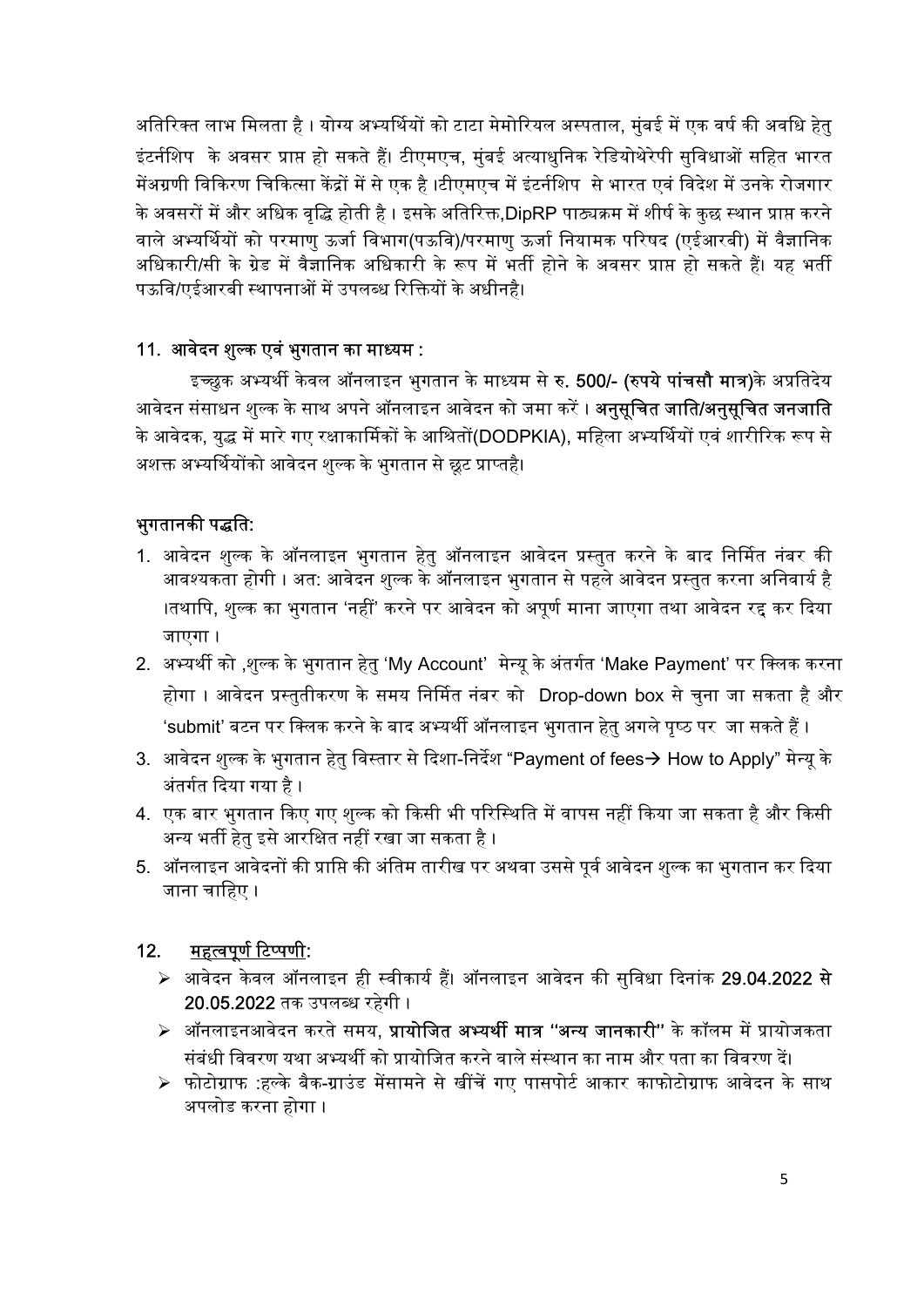अतिरिक्त लाभ मिलता है । योग्य अभ्यर्थियों को टाटा मेमोरियल अस्पताल, मुंबई में एक वर्ष की अवधि हेत् इंटर्नशिप के अवसर प्राप्त हो सकते हैं। टीएमएच, मुंबई अत्याधुनिक रेडियोथेरेपी सुविधाओं सहित भारत मेंअग्रणी विकिरण चिकित्सा केंद्रों में से एक है ।टीएमएच में इंटर्नशिप से भारत एवं विदेश में उनके रोजगार के अवसरों में और अधिक वद्धि होती है । इसके अतिरिक्त.DipRP पाठ्यक्रम में शीर्ष के कछ स्थान प्राप्त करने वाले अभ्यर्थियों को परमाणु ऊर्जा विभाग(पऊवि)/परमाणु ऊर्जा नियामक परिषद (एईआरबी) में वैज्ञानिक अधिकारी/सी के ग्रेड में वैज्ञानिक अधिकारी के रूप में भर्ती होने के अवसर प्राप्त हो सकते हैं। यह भर्ती पऊवि/एईआरबी स्थापनाओं में उपलब्ध रिक्तियों के अधीनहै।

## 11. आवेदन शुल्क एवं भुगतान का माध्यम :

इच्छुक अभ्यर्थी केवल ऑनलाइन भुगतान के माध्यम से **रु. 500/- (रुपये पांचसौ मात्र)**के अप्रतिदेय आवेदन संसाधन शुल्क के साथ अपने ऑनलाइन आवेदन को जमा करें । **अनुसुचित जाति/अनुसुचित जनजाति** के आवेदक, युद्ध में मारे गए रक्षाकार्मिकों के आश्रितों(DODPKIA), महिला अभ्यर्थियों एवं शारीरिक रूप से अशक्त अभ्यर्थियोंको आवेदन शुल्क के भुगतान से छूट प्राप्तहै।

## भुगतानकी पद्धति:

- 1. आवेदन शुल्क के ऑनलाइन भुगतान हेतु ऑनलाइन आवेदन प्रस्तुत करने के बाद निर्मित नंबर की आवश्यकता होगी । अत: आवेदन शुल्क के ऑनलाइन भुगतान से पहले आवेदन प्रस्तुत करना अनिवार्य है ।तथापि, शुल्क का भगतान 'नहीं' करने पर आवेदन को अपूर्ण माना जाएगा तथा आवेदन रह कर दिया जाएगा ।
- 2. अभ्यर्थी को ,शुल्क के भुगतान हेतु 'My Account' मेन्यू के अंतर्गत 'Make Payment' पर क्लिक करना होगा । आवेदन प्रस्तुतीकरण के समय निर्मित नंबर को Drop-down box से चुना जा सकता है और 'submit' बटन पर क्लिक करने के बाद अभ्यर्थी ऑनलाइन भगतान हेत अगले पुष्ठ पर जा सकते हैं ।
- 3. आवेदन शुल्क के भुगतान हेतु विस्तार से दिशा-निर्देश "Payment of fees $\rightarrow$  How to Apply" मेन्यु के अंतर्गत दिया गया है ।
- 4. एक बार भगतान किए गए शुल्क को किसी भी परिस्थिति में वापस नहीं किया जा सकता है और किसी अन्य भर्ती हेतु इसे आरक्षित नहीं रखा जा सकता है ।
- 5. ऑनलाइन आवेदनों की प्राप्ति की अंतिम तारीख पर अथवा उससे पर्व आवेदन शुल्क का भुगतान कर दिया जाना चाहिए ।

## <u>12. महत्वपूर्ण टिप्पणी</u>:

- $>$  आवेदन केवल ऑनलाइन ही स्वीकार्य हैं। ऑनलाइन आवेदन की सुविधा दिनांक 29.04.2022 से 20.05.2022 तक उपल᭣ध रहेगी ।
- $\triangleright$  ऑनलाइनआवेदन करते समय, **प्रायोजित अभ्यर्थी मात्र ''अन्य जानकारी''** के कॉलम में प्रायोजकता संबंधी विवरण यथा अभ्यर्थी को प्रायोजित करने वाले संस्थान का नाम और पता का विवरण दें।
- $\triangleright$  फोटोग्राफ :हल्के बैक-ग्राउंड मेंसामने से खींचें गए पासपोर्ट आकार काफोटोग्राफ आवेदन के साथ अपलोड करना होगा ।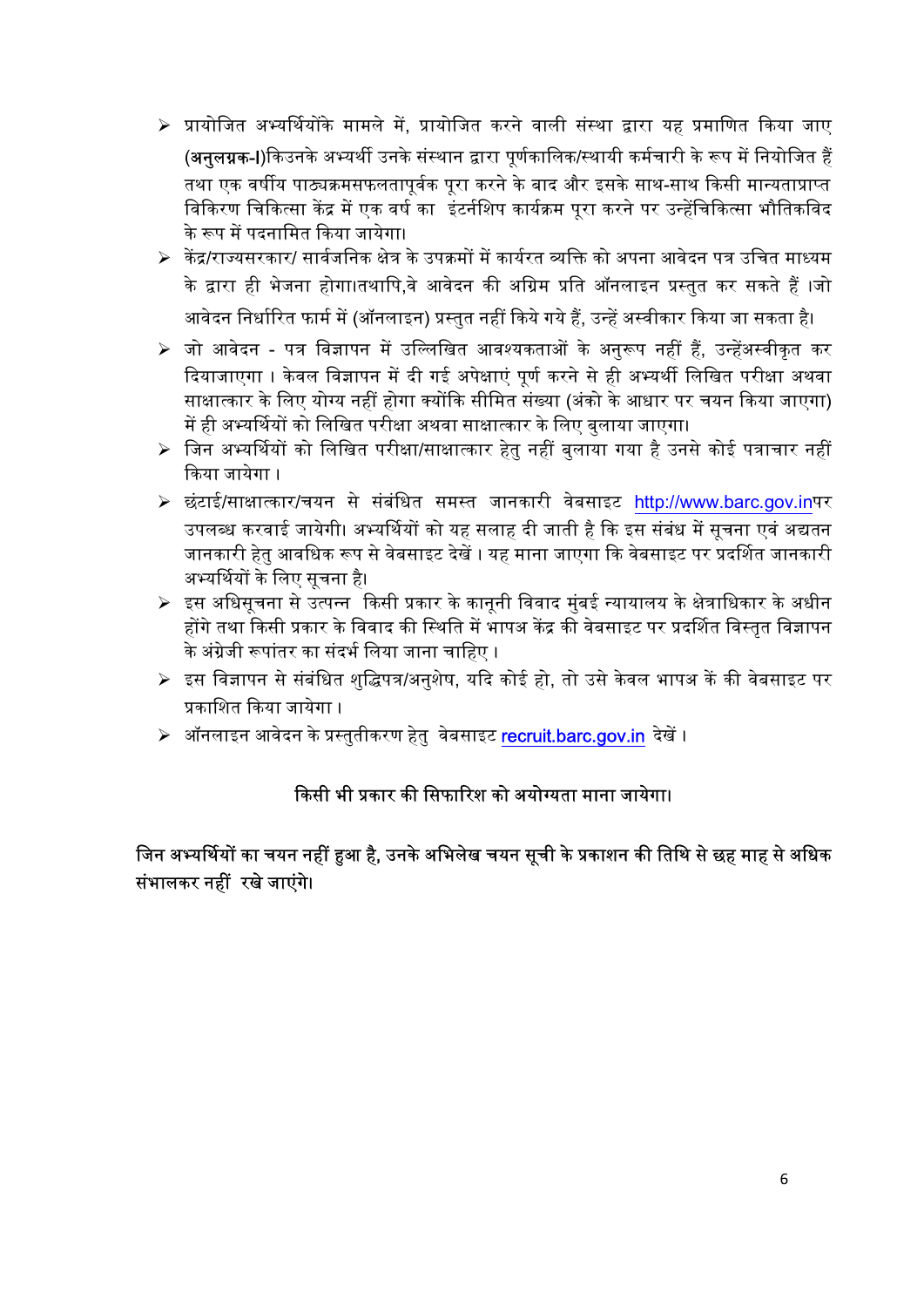- ➢ प्रायोजित अभ्यर्थियोंके मामले में, प्रायोजित करने वाली संस्था द्वारा यह प्रमाणित किया जाए (**अनुलग्नक-I**)किउनके अभ्यर्थी उनके संस्थान द्वारा पूर्णकालिक/स्थायी कर्मचारी के रूप में नियोजित हैं तथा एक वर्षीय पाठ्यक्रमसफलतापुर्वक पूरा करने के बाद और इसके साथ-साथ किसी मान्यताप्राप्त विकिरण चिकित्सा केंद्र में एक वर्ष का इंटर्नशिप कार्यक्रम परा करने पर उन्हेंचिकित्सा भौतिकविद के रूप में पदनामित किया जायेगा।
- $\triangleright$  केंद्र/राज्यसरकार/ सार्वजनिक क्षेत्र के उपक्रमों में कार्यरत व्यक्ति को अपना आवेदन पत्र उचित माध्यम के द्वारा ही भेजना होगा।तथापि.वे आवेदन की अग्रिम प्रति ऑनलाइन प्रस्तत कर सकते हैं ।जो आवेदन निर्धारित फार्म में (ऑनलाइन) प्रस्तुत नहीं किये गये हैं, उन्हें अस्वीकार किया जा सकता है।
- ≻ जो आवेदन पत्र विज्ञापन में उल्लिखित आवश्यकताओं के अनुरूप नहीं हैं, उन्हेंअस्वीकृत कर दियाजाएगा । केवल विज्ञापन में दी गई अपेक्षाएं पर्ण करने से ही अभ्यर्थी लिखित परीक्षा अथवा साक्षात्कार के लिए योग्य नहीं होगा क्योंकि सीमित संख्या (अंको के आधार पर चयन किया जाएगा) में ही अभ्यर्थियों को लिखित परीक्षा अथवा साक्षात्कार के लिए बुलाया जाएगा।
- $\triangleright$  जिन अभ्यर्थियों को लिखित परीक्षा/साक्षात्कार हेतु नहीं बुलाया गया है उनसे कोई पत्राचार नहीं किया जायेगा ।
- $>$  छंटाई/साक्षात्कार/चयन से संबंधित समस्त जानकारी वेबसाइट http://www.barc.gov.inपर उपलब्ध करवाई जायेगी। अभ्यर्थियों को यह सलाह दी जाती है कि इस संबंध में सचना एवं अद्यतन जानकारी हेतु आवधिक रूप से वेबसाइट देखें । यह माना जाएगा कि वेबसाइट पर प्रदर्शित जानकारी अभ्यर्थियों के लिए सूचना है।
- $\triangleright$  इस अधिसूचना से उत्पन्न किसी प्रकार के कानूनी विवाद मुंबई न्यायालय के क्षेत्राधिकार के अधीन होंगे तथा किसी प्रकार के विवाद की स्थिति में भापअ केंद्र की वेबसाइट पर प्रदर्शित विस्तृत विज्ञापन के अंग्रेजी रूपांतर का संदर्भ लिया जाना चाहिए ।
- $\blacktriangleright$  इस विज्ञापन से संबंधित शुद्धिपत्र/अनुशेष, यदि कोई हो, तो उसे केवल भापअ कें की वेबसाइट पर प्रकाशित किया जायेगा ।
- $>$  ऑनलाइन आवेदन के प्रस्तुतीकरण हेतु वेबसाइट recruit.barc.gov.in देखें ।

# किसी भी प्रकार की सिफारिश को अयोग्यता माना जायेगा।

## जिन अभ्यर्थियों का चयन नहीं हुआ है, उनके अभिलेख चयन सूची के प्रकाशन की तिथि से छह माह से अधिक संभालकर नहीं रखे जाएंगे।